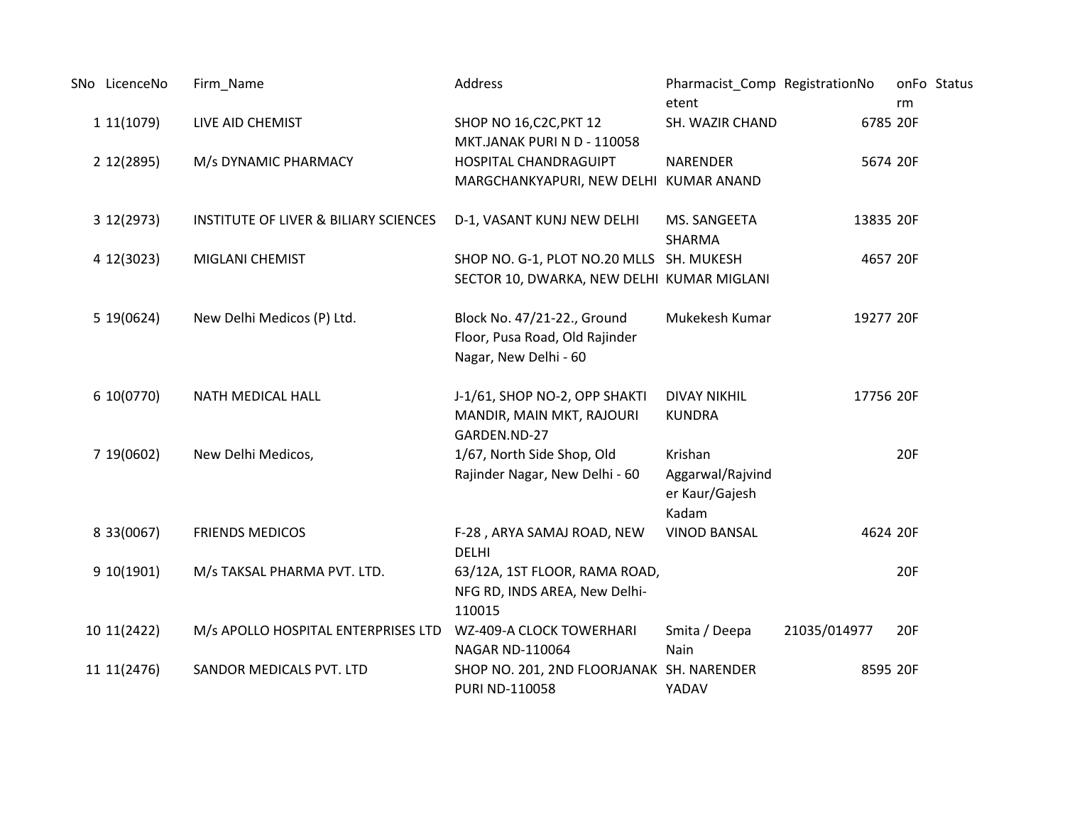| SNo LicenceNo | Firm_Name                                        | Address                                                                                | Pharmacist_Comp RegistrationNo<br>etent                |              | rm  | onFo Status |
|---------------|--------------------------------------------------|----------------------------------------------------------------------------------------|--------------------------------------------------------|--------------|-----|-------------|
| 11(1079)      | LIVE AID CHEMIST                                 | SHOP NO 16, C2C, PKT 12<br>MKT.JANAK PURI N D - 110058                                 | SH. WAZIR CHAND                                        | 6785 20F     |     |             |
| 2 12 (2895)   | M/s DYNAMIC PHARMACY                             | HOSPITAL CHANDRAGUIPT<br>MARGCHANKYAPURI, NEW DELHI KUMAR ANAND                        | <b>NARENDER</b>                                        | 5674 20F     |     |             |
| 3 12(2973)    | <b>INSTITUTE OF LIVER &amp; BILIARY SCIENCES</b> | D-1, VASANT KUNJ NEW DELHI                                                             | MS. SANGEETA<br><b>SHARMA</b>                          | 13835 20F    |     |             |
| 4 12(3023)    | <b>MIGLANI CHEMIST</b>                           | SHOP NO. G-1, PLOT NO.20 MLLS SH. MUKESH<br>SECTOR 10, DWARKA, NEW DELHI KUMAR MIGLANI |                                                        | 4657 20F     |     |             |
| 5 19(0624)    | New Delhi Medicos (P) Ltd.                       | Block No. 47/21-22., Ground<br>Floor, Pusa Road, Old Rajinder<br>Nagar, New Delhi - 60 | Mukekesh Kumar                                         | 19277 20F    |     |             |
| 6 10(0770)    | NATH MEDICAL HALL                                | J-1/61, SHOP NO-2, OPP SHAKTI<br>MANDIR, MAIN MKT, RAJOURI<br>GARDEN.ND-27             | <b>DIVAY NIKHIL</b><br><b>KUNDRA</b>                   | 17756 20F    |     |             |
| 7 19 (0602)   | New Delhi Medicos,                               | 1/67, North Side Shop, Old<br>Rajinder Nagar, New Delhi - 60                           | Krishan<br>Aggarwal/Rajvind<br>er Kaur/Gajesh<br>Kadam |              | 20F |             |
| 8 33 (0067)   | <b>FRIENDS MEDICOS</b>                           | F-28, ARYA SAMAJ ROAD, NEW<br><b>DELHI</b>                                             | <b>VINOD BANSAL</b>                                    | 4624 20F     |     |             |
| 910(1901)     | M/s TAKSAL PHARMA PVT. LTD.                      | 63/12A, 1ST FLOOR, RAMA ROAD,<br>NFG RD, INDS AREA, New Delhi-<br>110015               |                                                        |              | 20F |             |
| 10 11 (2422)  | M/s APOLLO HOSPITAL ENTERPRISES LTD              | WZ-409-A CLOCK TOWERHARI<br>NAGAR ND-110064                                            | Smita / Deepa<br>Nain                                  | 21035/014977 | 20F |             |
| 11 11 (2476)  | SANDOR MEDICALS PVT. LTD                         | SHOP NO. 201, 2ND FLOORJANAK SH. NARENDER<br>PURI ND-110058                            | YADAV                                                  | 8595 20F     |     |             |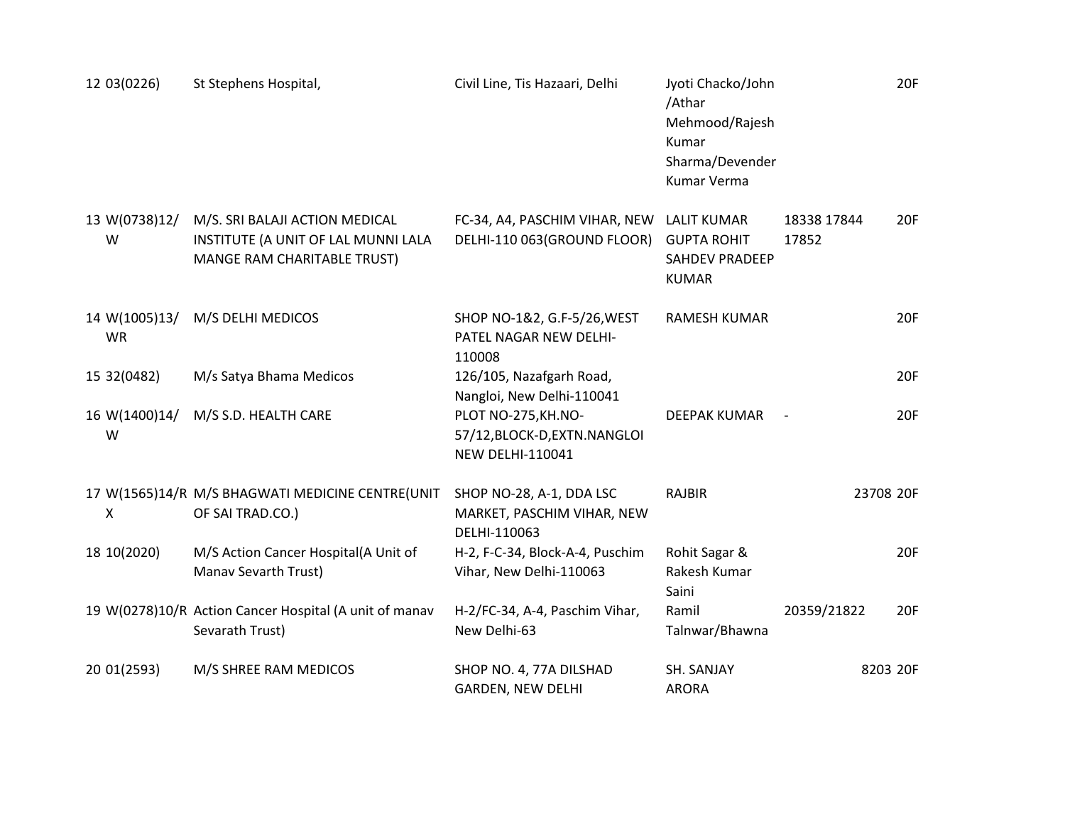| 12 03 (0226)               | St Stephens Hospital,                                                                                | Civil Line, Tis Hazaari, Delhi                                                  | Jyoti Chacko/John<br>/Athar<br>Mehmood/Rajesh<br>Kumar<br>Sharma/Devender<br><b>Kumar Verma</b> |                      | 20F       |
|----------------------------|------------------------------------------------------------------------------------------------------|---------------------------------------------------------------------------------|-------------------------------------------------------------------------------------------------|----------------------|-----------|
| 13 W(0738)12/<br>W         | M/S. SRI BALAJI ACTION MEDICAL<br>INSTITUTE (A UNIT OF LAL MUNNI LALA<br>MANGE RAM CHARITABLE TRUST) | FC-34, A4, PASCHIM VIHAR, NEW<br>DELHI-110 063(GROUND FLOOR)                    | <b>LALIT KUMAR</b><br><b>GUPTA ROHIT</b><br><b>SAHDEV PRADEEP</b><br><b>KUMAR</b>               | 18338 17844<br>17852 | 20F       |
| 14 W(1005)13/<br><b>WR</b> | M/S DELHI MEDICOS                                                                                    | SHOP NO-1&2, G.F-5/26, WEST<br>PATEL NAGAR NEW DELHI-<br>110008                 | <b>RAMESH KUMAR</b>                                                                             |                      | 20F       |
| 15 32 (0482)               | M/s Satya Bhama Medicos                                                                              | 126/105, Nazafgarh Road,<br>Nangloi, New Delhi-110041                           |                                                                                                 |                      | 20F       |
| 16 W(1400)14/<br>W         | M/S S.D. HEALTH CARE                                                                                 | PLOT NO-275, KH.NO-<br>57/12, BLOCK-D, EXTN. NANGLOI<br><b>NEW DELHI-110041</b> | <b>DEEPAK KUMAR</b>                                                                             |                      | 20F       |
| X                          | 17 W(1565)14/R M/S BHAGWATI MEDICINE CENTRE(UNIT<br>OF SAI TRAD.CO.)                                 | SHOP NO-28, A-1, DDA LSC<br>MARKET, PASCHIM VIHAR, NEW<br>DELHI-110063          | <b>RAJBIR</b>                                                                                   |                      | 23708 20F |
| 18 10(2020)                | M/S Action Cancer Hospital(A Unit of<br>Manav Sevarth Trust)                                         | H-2, F-C-34, Block-A-4, Puschim<br>Vihar, New Delhi-110063                      | Rohit Sagar &<br>Rakesh Kumar<br>Saini                                                          |                      | 20F       |
|                            | 19 W(0278)10/R Action Cancer Hospital (A unit of manav<br>Sevarath Trust)                            | H-2/FC-34, A-4, Paschim Vihar,<br>New Delhi-63                                  | Ramil<br>Talnwar/Bhawna                                                                         | 20359/21822          | 20F       |
| 20 01(2593)                | M/S SHREE RAM MEDICOS                                                                                | SHOP NO. 4, 77A DILSHAD<br><b>GARDEN, NEW DELHI</b>                             | SH. SANJAY<br><b>ARORA</b>                                                                      |                      | 8203 20F  |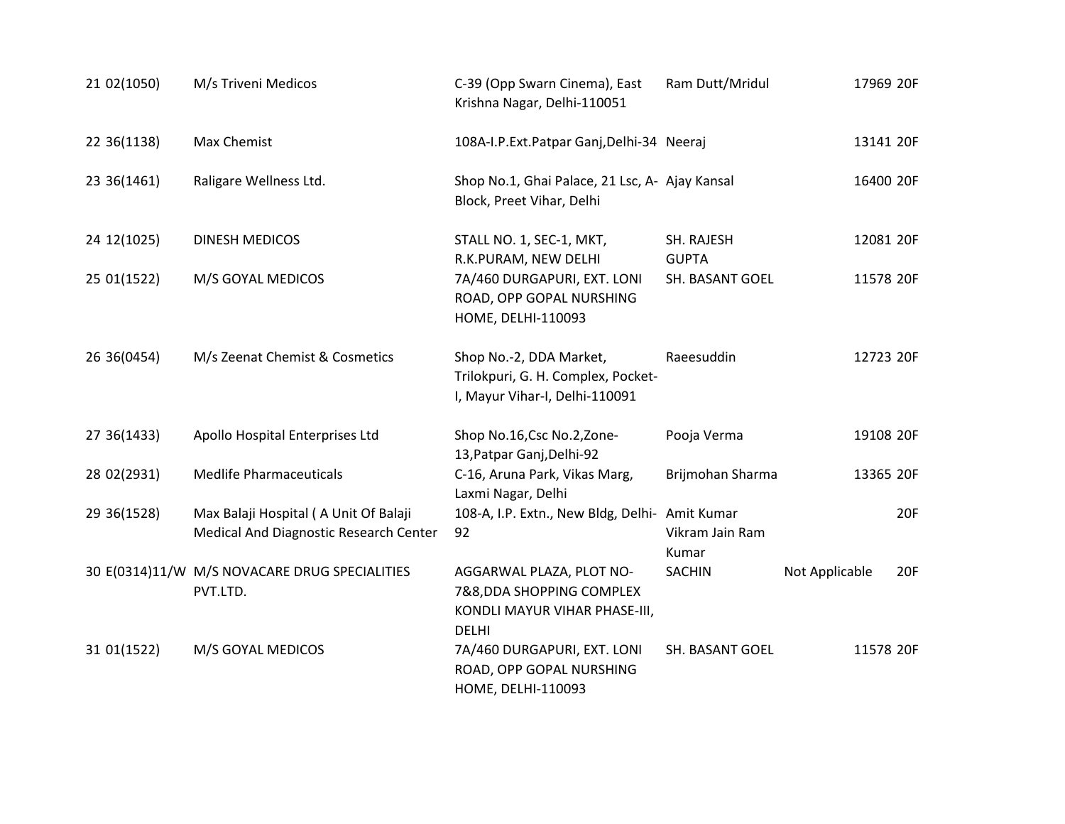| 21 02(1050)  | M/s Triveni Medicos                                                             | C-39 (Opp Swarn Cinema), East<br>Krishna Nagar, Delhi-110051                                           | Ram Dutt/Mridul            | 17969 20F             |
|--------------|---------------------------------------------------------------------------------|--------------------------------------------------------------------------------------------------------|----------------------------|-----------------------|
| 22 36(1138)  | Max Chemist                                                                     | 108A-I.P.Ext.Patpar Ganj,Delhi-34 Neeraj                                                               |                            | 13141 20F             |
| 23 36(1461)  | Raligare Wellness Ltd.                                                          | Shop No.1, Ghai Palace, 21 Lsc, A- Ajay Kansal<br>Block, Preet Vihar, Delhi                            |                            | 16400 20F             |
| 24 12(1025)  | DINESH MEDICOS                                                                  | STALL NO. 1, SEC-1, MKT,<br>R.K.PURAM, NEW DELHI                                                       | SH. RAJESH<br><b>GUPTA</b> | 12081 20F             |
| 25 01(1522)  | M/S GOYAL MEDICOS                                                               | 7A/460 DURGAPURI, EXT. LONI<br>ROAD, OPP GOPAL NURSHING<br>HOME, DELHI-110093                          | SH. BASANT GOEL            | 11578 20F             |
| 26 36(0454)  | M/s Zeenat Chemist & Cosmetics                                                  | Shop No.-2, DDA Market,<br>Trilokpuri, G. H. Complex, Pocket-<br>I, Mayur Vihar-I, Delhi-110091        | Raeesuddin                 | 12723 20F             |
| 27 36(1433)  | Apollo Hospital Enterprises Ltd                                                 | Shop No.16, Csc No.2, Zone-<br>13, Patpar Ganj, Delhi-92                                               | Pooja Verma                | 19108 20F             |
| 28 02(2931)  | <b>Medlife Pharmaceuticals</b>                                                  | C-16, Aruna Park, Vikas Marg,<br>Laxmi Nagar, Delhi                                                    | Brijmohan Sharma           | 13365 20F             |
| 29 36 (1528) | Max Balaji Hospital (A Unit Of Balaji<br>Medical And Diagnostic Research Center | 108-A, I.P. Extn., New Bldg, Delhi- Amit Kumar<br>92                                                   | Vikram Jain Ram<br>Kumar   | 20F                   |
|              | 30 E(0314)11/W M/S NOVACARE DRUG SPECIALITIES<br>PVT.LTD.                       | AGGARWAL PLAZA, PLOT NO-<br>7&8, DDA SHOPPING COMPLEX<br>KONDLI MAYUR VIHAR PHASE-III,<br><b>DELHI</b> | <b>SACHIN</b>              | Not Applicable<br>20F |
| 31 01(1522)  | M/S GOYAL MEDICOS                                                               | 7A/460 DURGAPURI, EXT. LONI<br>ROAD, OPP GOPAL NURSHING<br>HOME, DELHI-110093                          | SH. BASANT GOEL            | 11578 20F             |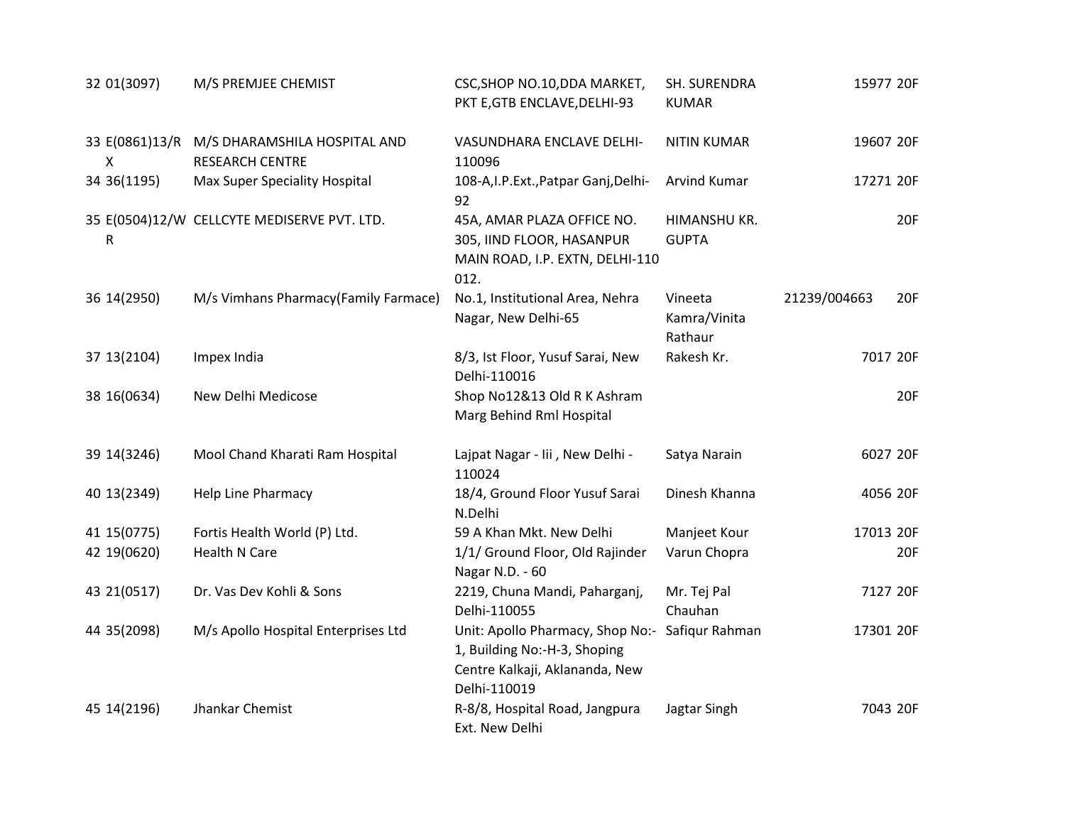| 32 01(3097)                    | M/S PREMJEE CHEMIST                                    | CSC, SHOP NO.10, DDA MARKET,<br>PKT E, GTB ENCLAVE, DELHI-93                                                                      | SH. SURENDRA<br><b>KUMAR</b>       | 15977 20F           |
|--------------------------------|--------------------------------------------------------|-----------------------------------------------------------------------------------------------------------------------------------|------------------------------------|---------------------|
| 33 E(0861)13/R<br>$\mathsf{x}$ | M/S DHARAMSHILA HOSPITAL AND<br><b>RESEARCH CENTRE</b> | VASUNDHARA ENCLAVE DELHI-<br>110096                                                                                               | <b>NITIN KUMAR</b>                 | 19607 20F           |
| 34 36(1195)                    | Max Super Speciality Hospital                          | 108-A, I.P. Ext., Patpar Ganj, Delhi-<br>92                                                                                       | Arvind Kumar                       | 17271 20F           |
| R                              | 35 E(0504)12/W CELLCYTE MEDISERVE PVT. LTD.            | 45A, AMAR PLAZA OFFICE NO.<br>305, IIND FLOOR, HASANPUR<br>MAIN ROAD, I.P. EXTN, DELHI-110<br>012.                                | HIMANSHU KR.<br><b>GUPTA</b>       | 20F                 |
| 36 14 (2950)                   | M/s Vimhans Pharmacy(Family Farmace)                   | No.1, Institutional Area, Nehra<br>Nagar, New Delhi-65                                                                            | Vineeta<br>Kamra/Vinita<br>Rathaur | 21239/004663<br>20F |
| 37 13 (2104)                   | Impex India                                            | 8/3, Ist Floor, Yusuf Sarai, New<br>Delhi-110016                                                                                  | Rakesh Kr.                         | 7017 20F            |
| 38 16(0634)                    | New Delhi Medicose                                     | Shop No12&13 Old R K Ashram<br>Marg Behind Rml Hospital                                                                           |                                    | 20F                 |
| 39 14 (3246)                   | Mool Chand Kharati Ram Hospital                        | Lajpat Nagar - Iii , New Delhi -<br>110024                                                                                        | Satya Narain                       | 6027 20F            |
| 40 13 (2349)                   | <b>Help Line Pharmacy</b>                              | 18/4, Ground Floor Yusuf Sarai<br>N.Delhi                                                                                         | Dinesh Khanna                      | 4056 20F            |
| 41 15 (0775)                   | Fortis Health World (P) Ltd.                           | 59 A Khan Mkt. New Delhi                                                                                                          | Manjeet Kour                       | 17013 20F           |
| 42 19(0620)                    | <b>Health N Care</b>                                   | 1/1/ Ground Floor, Old Rajinder<br>Nagar N.D. - 60                                                                                | Varun Chopra                       | 20F                 |
| 43 21 (0517)                   | Dr. Vas Dev Kohli & Sons                               | 2219, Chuna Mandi, Paharganj,<br>Delhi-110055                                                                                     | Mr. Tej Pal<br>Chauhan             | 7127 20F            |
| 44 35 (2098)                   | M/s Apollo Hospital Enterprises Ltd                    | Unit: Apollo Pharmacy, Shop No:- Safiqur Rahman<br>1, Building No:-H-3, Shoping<br>Centre Kalkaji, Aklananda, New<br>Delhi-110019 |                                    | 17301 20F           |
| 45 14 (2196)                   | Jhankar Chemist                                        | R-8/8, Hospital Road, Jangpura<br>Ext. New Delhi                                                                                  | Jagtar Singh                       | 7043 20F            |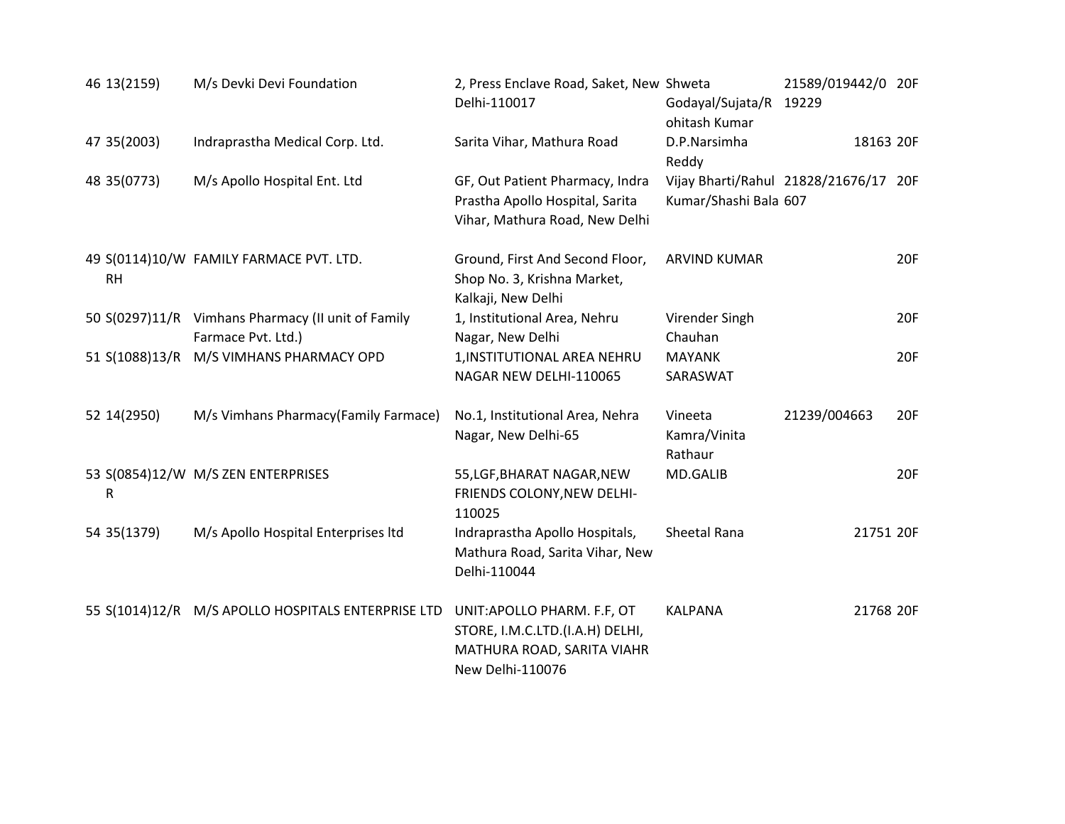| 46 13 (2159)   | M/s Devki Devi Foundation                                                | 2, Press Enclave Road, Saket, New Shweta<br>Delhi-110017                                                         | Godayal/Sujata/R 19229<br>ohitash Kumar                        | 21589/019442/0 20F |     |
|----------------|--------------------------------------------------------------------------|------------------------------------------------------------------------------------------------------------------|----------------------------------------------------------------|--------------------|-----|
| 47 35 (2003)   | Indraprastha Medical Corp. Ltd.                                          | Sarita Vihar, Mathura Road                                                                                       | D.P.Narsimha<br>Reddy                                          | 18163 20F          |     |
| 48 35 (0773)   | M/s Apollo Hospital Ent. Ltd                                             | GF, Out Patient Pharmacy, Indra<br>Prastha Apollo Hospital, Sarita<br>Vihar, Mathura Road, New Delhi             | Vijay Bharti/Rahul 21828/21676/17 20F<br>Kumar/Shashi Bala 607 |                    |     |
| RH             | 49 S(0114)10/W FAMILY FARMACE PVT. LTD.                                  | Ground, First And Second Floor,<br>Shop No. 3, Krishna Market,<br>Kalkaji, New Delhi                             | <b>ARVIND KUMAR</b>                                            |                    | 20F |
|                | 50 S(0297)11/R Vimhans Pharmacy (II unit of Family<br>Farmace Pvt. Ltd.) | 1, Institutional Area, Nehru<br>Nagar, New Delhi                                                                 | Virender Singh<br>Chauhan                                      |                    | 20F |
| 51 S(1088)13/R | M/S VIMHANS PHARMACY OPD                                                 | 1, INSTITUTIONAL AREA NEHRU<br>NAGAR NEW DELHI-110065                                                            | <b>MAYANK</b><br>SARASWAT                                      |                    | 20F |
| 52 14 (2950)   | M/s Vimhans Pharmacy(Family Farmace)                                     | No.1, Institutional Area, Nehra<br>Nagar, New Delhi-65                                                           | Vineeta<br>Kamra/Vinita<br>Rathaur                             | 21239/004663       | 20F |
| R              | 53 S(0854)12/W M/S ZEN ENTERPRISES                                       | 55, LGF, BHARAT NAGAR, NEW<br>FRIENDS COLONY, NEW DELHI-<br>110025                                               | MD.GALIB                                                       |                    | 20F |
| 54 35 (1379)   | M/s Apollo Hospital Enterprises Itd                                      | Indraprastha Apollo Hospitals,<br>Mathura Road, Sarita Vihar, New<br>Delhi-110044                                | Sheetal Rana                                                   | 21751 20F          |     |
|                | 55 S(1014)12/R M/S APOLLO HOSPITALS ENTERPRISE LTD                       | UNIT: APOLLO PHARM. F.F, OT<br>STORE, I.M.C.LTD.(I.A.H) DELHI,<br>MATHURA ROAD, SARITA VIAHR<br>New Delhi-110076 | <b>KALPANA</b>                                                 | 21768 20F          |     |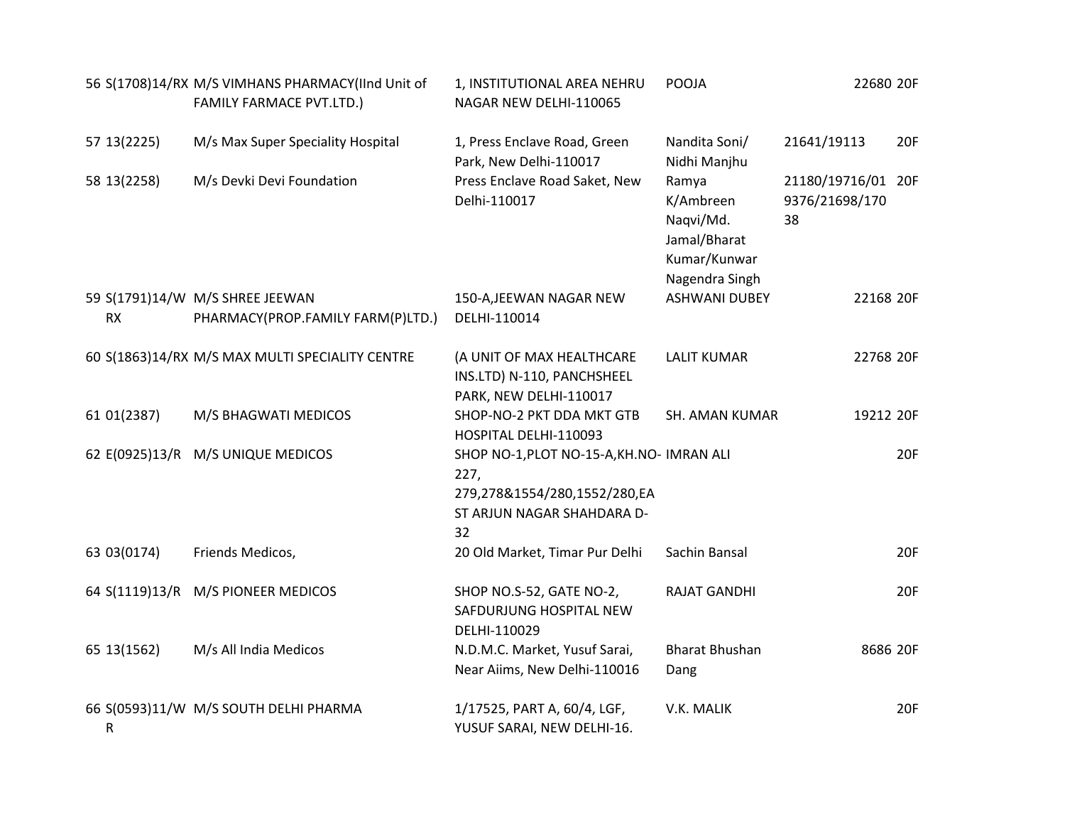|              | 56 S(1708)14/RX M/S VIMHANS PHARMACY(IInd Unit of<br><b>FAMILY FARMACE PVT.LTD.)</b> | 1, INSTITUTIONAL AREA NEHRU<br>NAGAR NEW DELHI-110065                                                                  | POOJA                                                                             | 22680 20F                                  |            |
|--------------|--------------------------------------------------------------------------------------|------------------------------------------------------------------------------------------------------------------------|-----------------------------------------------------------------------------------|--------------------------------------------|------------|
| 57 13 (2225) | M/s Max Super Speciality Hospital                                                    | 1, Press Enclave Road, Green<br>Park, New Delhi-110017                                                                 | Nandita Soni/<br>Nidhi Manjhu                                                     | 21641/19113                                | 20F        |
| 58 13 (2258) | M/s Devki Devi Foundation                                                            | Press Enclave Road Saket, New<br>Delhi-110017                                                                          | Ramya<br>K/Ambreen<br>Naqvi/Md.<br>Jamal/Bharat<br>Kumar/Kunwar<br>Nagendra Singh | 21180/19716/01 20F<br>9376/21698/170<br>38 |            |
|              | 59 S(1791)14/W M/S SHREE JEEWAN                                                      | 150-A, JEEWAN NAGAR NEW                                                                                                | <b>ASHWANI DUBEY</b>                                                              | 22168 20F                                  |            |
| <b>RX</b>    | PHARMACY(PROP.FAMILY FARM(P)LTD.)                                                    | DELHI-110014                                                                                                           |                                                                                   |                                            |            |
|              | 60 S(1863)14/RX M/S MAX MULTI SPECIALITY CENTRE                                      | (A UNIT OF MAX HEALTHCARE<br>INS.LTD) N-110, PANCHSHEEL<br>PARK, NEW DELHI-110017                                      | <b>LALIT KUMAR</b>                                                                | 22768 20F                                  |            |
| 61 01(2387)  | M/S BHAGWATI MEDICOS                                                                 | SHOP-NO-2 PKT DDA MKT GTB<br>HOSPITAL DELHI-110093                                                                     | <b>SH. AMAN KUMAR</b>                                                             | 19212 20F                                  |            |
|              | 62 E(0925)13/R M/S UNIQUE MEDICOS                                                    | SHOP NO-1, PLOT NO-15-A, KH. NO- IMRAN ALI<br>227,<br>279,278&1554/280,1552/280,EA<br>ST ARJUN NAGAR SHAHDARA D-<br>32 |                                                                                   |                                            | <b>20F</b> |
| 63 03(0174)  | Friends Medicos,                                                                     | 20 Old Market, Timar Pur Delhi                                                                                         | Sachin Bansal                                                                     |                                            | 20F        |
|              | 64 S(1119)13/R M/S PIONEER MEDICOS                                                   | SHOP NO.S-52, GATE NO-2,<br>SAFDURJUNG HOSPITAL NEW<br>DELHI-110029                                                    | <b>RAJAT GANDHI</b>                                                               |                                            | <b>20F</b> |
| 65 13 (1562) | M/s All India Medicos                                                                | N.D.M.C. Market, Yusuf Sarai,<br>Near Aiims, New Delhi-110016                                                          | <b>Bharat Bhushan</b><br>Dang                                                     | 8686 20F                                   |            |
| R            | 66 S(0593)11/W M/S SOUTH DELHI PHARMA                                                | 1/17525, PART A, 60/4, LGF,<br>YUSUF SARAI, NEW DELHI-16.                                                              | V.K. MALIK                                                                        |                                            | <b>20F</b> |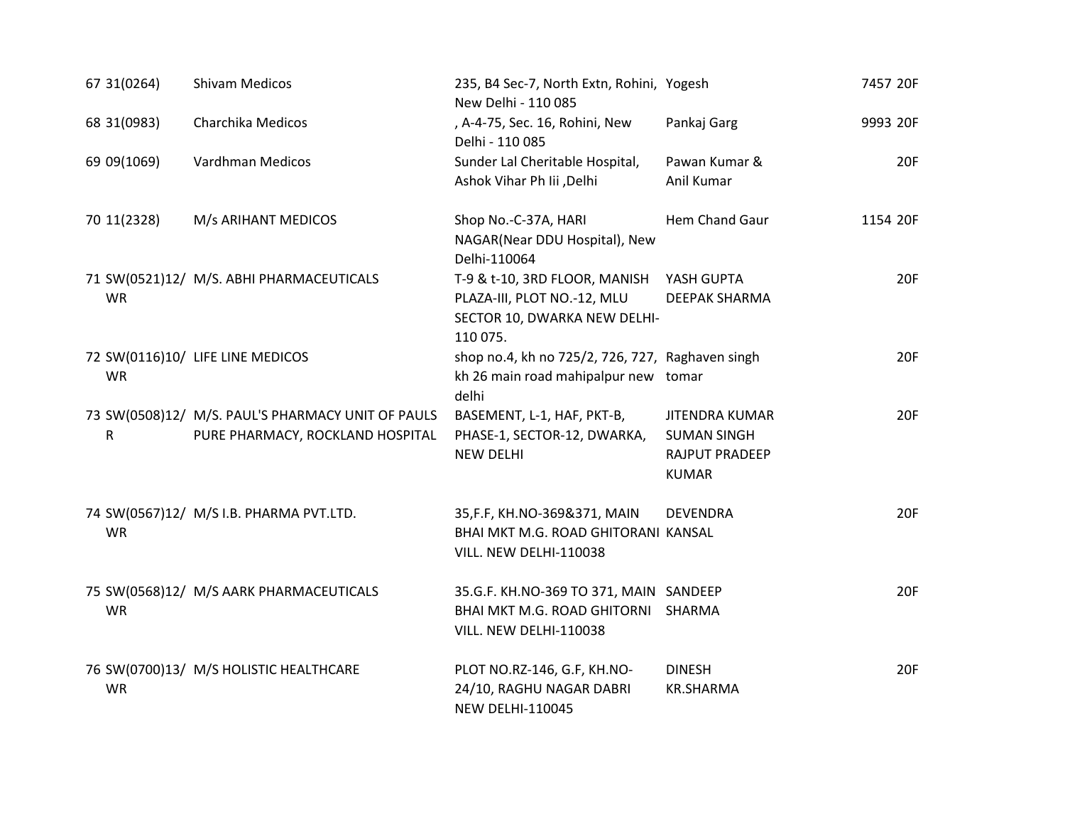| 67 31 (0264) | <b>Shivam Medicos</b>                                                                 | 235, B4 Sec-7, North Extn, Rohini, Yogesh<br>New Delhi - 110 085                                                    |                                                                               | 7457 20F   |
|--------------|---------------------------------------------------------------------------------------|---------------------------------------------------------------------------------------------------------------------|-------------------------------------------------------------------------------|------------|
| 68 31 (0983) | Charchika Medicos                                                                     | , A-4-75, Sec. 16, Rohini, New<br>Delhi - 110 085                                                                   | Pankaj Garg                                                                   | 9993 20F   |
| 69 09(1069)  | Vardhman Medicos                                                                      | Sunder Lal Cheritable Hospital,<br>Ashok Vihar Ph Iii , Delhi                                                       | Pawan Kumar &<br>Anil Kumar                                                   | <b>20F</b> |
| 70 11(2328)  | M/s ARIHANT MEDICOS                                                                   | Shop No.-C-37A, HARI<br>NAGAR(Near DDU Hospital), New<br>Delhi-110064                                               | Hem Chand Gaur                                                                | 1154 20F   |
| <b>WR</b>    | 71 SW(0521)12/ M/S. ABHI PHARMACEUTICALS                                              | T-9 & t-10, 3RD FLOOR, MANISH YASH GUPTA<br>PLAZA-III, PLOT NO.-12, MLU<br>SECTOR 10, DWARKA NEW DELHI-<br>110 075. | <b>DEEPAK SHARMA</b>                                                          | <b>20F</b> |
| <b>WR</b>    | 72 SW(0116)10/ LIFE LINE MEDICOS                                                      | shop no.4, kh no 725/2, 726, 727, Raghaven singh<br>kh 26 main road mahipalpur new tomar<br>delhi                   |                                                                               | 20F        |
| $\mathsf{R}$ | 73 SW(0508)12/ M/S. PAUL'S PHARMACY UNIT OF PAULS<br>PURE PHARMACY, ROCKLAND HOSPITAL | BASEMENT, L-1, HAF, PKT-B,<br>PHASE-1, SECTOR-12, DWARKA,<br><b>NEW DELHI</b>                                       | <b>JITENDRA KUMAR</b><br><b>SUMAN SINGH</b><br>RAJPUT PRADEEP<br><b>KUMAR</b> | 20F        |
| <b>WR</b>    | 74 SW(0567)12/ M/S I.B. PHARMA PVT.LTD.                                               | 35, F.F, KH. NO-369&371, MAIN<br>BHAI MKT M.G. ROAD GHITORANI KANSAL<br>VILL. NEW DELHI-110038                      | <b>DEVENDRA</b>                                                               | 20F        |
| <b>WR</b>    | 75 SW(0568)12/ M/S AARK PHARMACEUTICALS                                               | 35.G.F. KH.NO-369 TO 371, MAIN SANDEEP<br>BHAI MKT M.G. ROAD GHITORNI SHARMA<br>VILL. NEW DELHI-110038              |                                                                               | 20F        |
| <b>WR</b>    | 76 SW(0700)13/ M/S HOLISTIC HEALTHCARE                                                | PLOT NO.RZ-146, G.F, KH.NO-<br>24/10, RAGHU NAGAR DABRI<br><b>NEW DELHI-110045</b>                                  | <b>DINESH</b><br><b>KR.SHARMA</b>                                             | 20F        |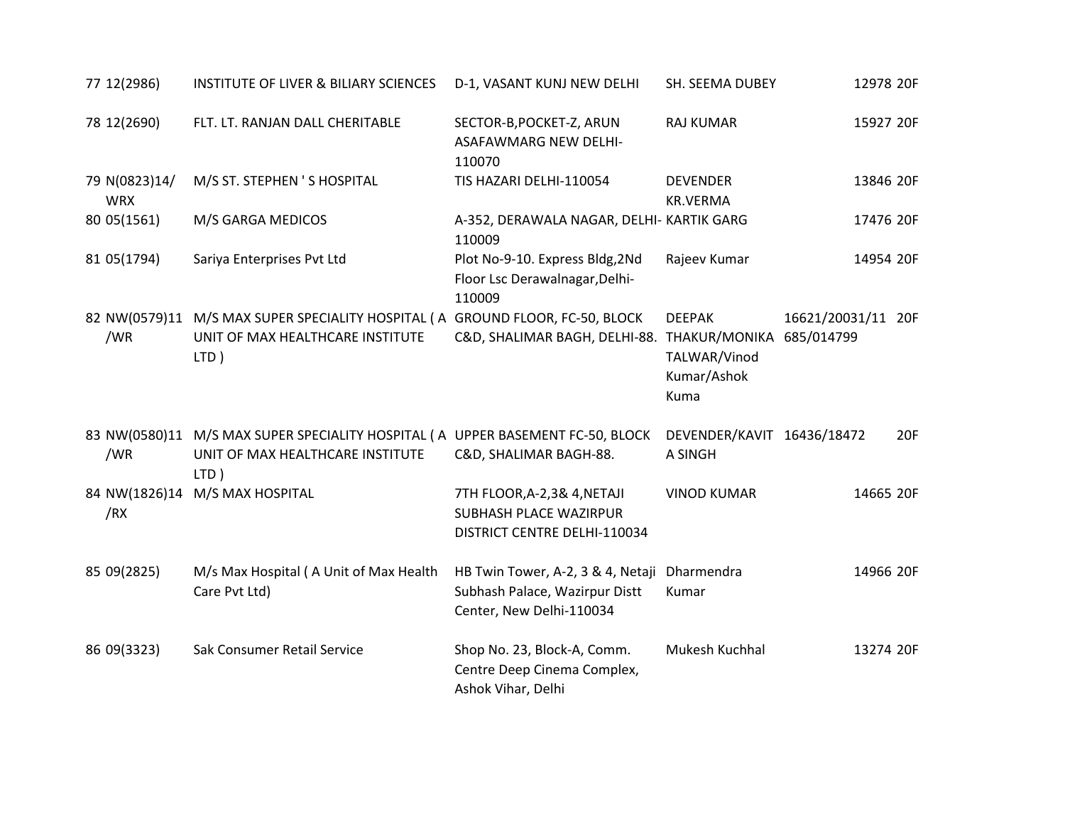| 77 12(2986)                 | <b>INSTITUTE OF LIVER &amp; BILIARY SCIENCES</b>                                                                            | D-1, VASANT KUNJ NEW DELHI                                                                                 | SH. SEEMA DUBEY                                      | 12978 20F          |
|-----------------------------|-----------------------------------------------------------------------------------------------------------------------------|------------------------------------------------------------------------------------------------------------|------------------------------------------------------|--------------------|
| 78 12(2690)                 | FLT. LT. RANJAN DALL CHERITABLE                                                                                             | SECTOR-B, POCKET-Z, ARUN<br><b>ASAFAWMARG NEW DELHI-</b><br>110070                                         | <b>RAJ KUMAR</b>                                     | 15927 20F          |
| 79 N(0823)14/<br><b>WRX</b> | M/S ST. STEPHEN 'S HOSPITAL                                                                                                 | TIS HAZARI DELHI-110054                                                                                    | <b>DEVENDER</b><br><b>KR.VERMA</b>                   | 13846 20F          |
| 80 05(1561)                 | M/S GARGA MEDICOS                                                                                                           | A-352, DERAWALA NAGAR, DELHI- KARTIK GARG<br>110009                                                        |                                                      | 17476 20F          |
| 81 05(1794)                 | Sariya Enterprises Pvt Ltd                                                                                                  | Plot No-9-10. Express Bldg, 2Nd<br>Floor Lsc Derawalnagar, Delhi-<br>110009                                | Rajeev Kumar                                         | 14954 20F          |
| /WR                         | 82 NW(0579)11 M/S MAX SUPER SPECIALITY HOSPITAL (A GROUND FLOOR, FC-50, BLOCK<br>UNIT OF MAX HEALTHCARE INSTITUTE<br>LTD)   | C&D, SHALIMAR BAGH, DELHI-88. THAKUR/MONIKA 685/014799                                                     | <b>DEEPAK</b><br>TALWAR/Vinod<br>Kumar/Ashok<br>Kuma | 16621/20031/11 20F |
| /WR                         | 83 NW(0580)11 M/S MAX SUPER SPECIALITY HOSPITAL ( A UPPER BASEMENT FC-50, BLOCK<br>UNIT OF MAX HEALTHCARE INSTITUTE<br>LTD) | C&D, SHALIMAR BAGH-88.                                                                                     | DEVENDER/KAVIT 16436/18472<br>A SINGH                | 20F                |
| /RX                         | 84 NW(1826)14 M/S MAX HOSPITAL                                                                                              | 7TH FLOOR, A-2, 3& 4, NETAJI<br>SUBHASH PLACE WAZIRPUR<br>DISTRICT CENTRE DELHI-110034                     | <b>VINOD KUMAR</b>                                   | 14665 20F          |
| 85 09(2825)                 | M/s Max Hospital (A Unit of Max Health<br>Care Pvt Ltd)                                                                     | HB Twin Tower, A-2, 3 & 4, Netaji Dharmendra<br>Subhash Palace, Wazirpur Distt<br>Center, New Delhi-110034 | Kumar                                                | 14966 20F          |
| 86 09(3323)                 | Sak Consumer Retail Service                                                                                                 | Shop No. 23, Block-A, Comm.<br>Centre Deep Cinema Complex,<br>Ashok Vihar, Delhi                           | Mukesh Kuchhal                                       | 13274 20F          |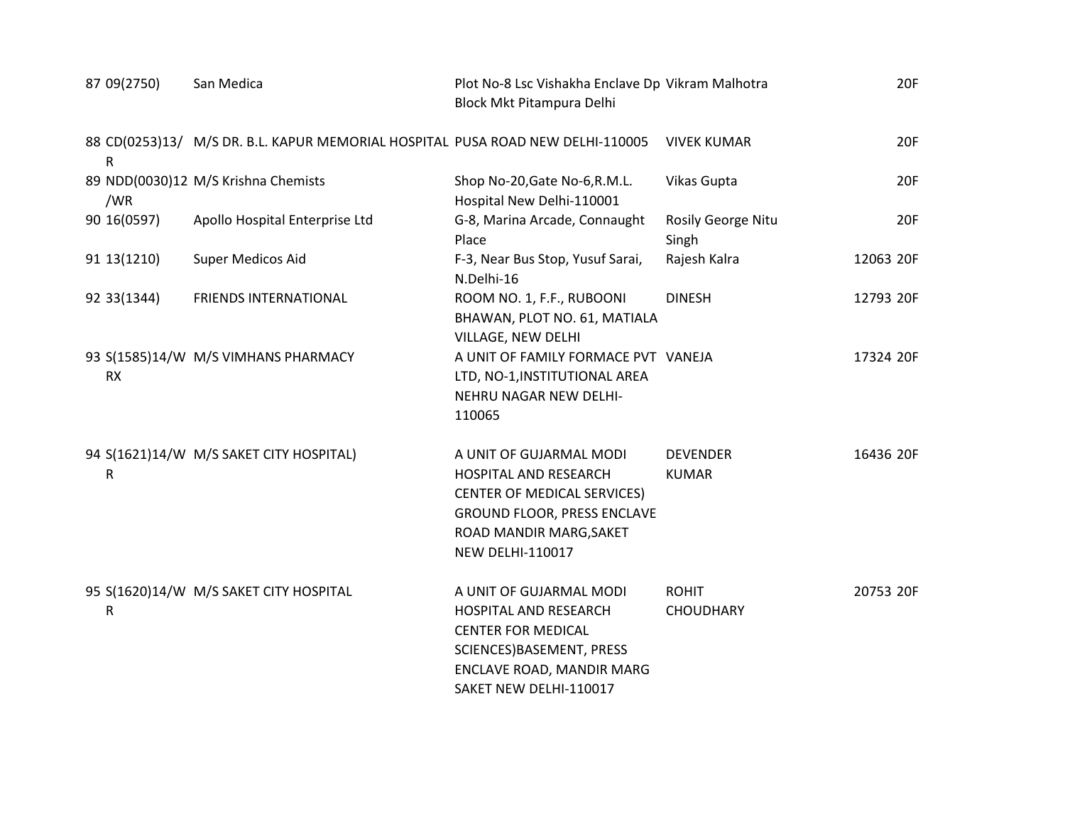| 87 09(2750)  | San Medica                                                                     | Plot No-8 Lsc Vishakha Enclave Dp Vikram Malhotra<br>Block Mkt Pitampura Delhi                                                                                                     |                                  | 20F       |
|--------------|--------------------------------------------------------------------------------|------------------------------------------------------------------------------------------------------------------------------------------------------------------------------------|----------------------------------|-----------|
| ${\sf R}$    | 88 CD(0253)13/ M/S DR. B.L. KAPUR MEMORIAL HOSPITAL PUSA ROAD NEW DELHI-110005 |                                                                                                                                                                                    | <b>VIVEK KUMAR</b>               | 20F       |
| /WR          | 89 NDD(0030)12 M/S Krishna Chemists                                            | Shop No-20, Gate No-6, R.M.L.<br>Hospital New Delhi-110001                                                                                                                         | Vikas Gupta                      | 20F       |
| 90 16(0597)  | Apollo Hospital Enterprise Ltd                                                 | G-8, Marina Arcade, Connaught<br>Place                                                                                                                                             | Rosily George Nitu<br>Singh      | 20F       |
| 91 13 (1210) | Super Medicos Aid                                                              | F-3, Near Bus Stop, Yusuf Sarai,<br>N.Delhi-16                                                                                                                                     | Rajesh Kalra                     | 12063 20F |
| 92 33 (1344) | <b>FRIENDS INTERNATIONAL</b>                                                   | ROOM NO. 1, F.F., RUBOONI<br>BHAWAN, PLOT NO. 61, MATIALA<br>VILLAGE, NEW DELHI                                                                                                    | <b>DINESH</b>                    | 12793 20F |
| <b>RX</b>    | 93 S(1585)14/W M/S VIMHANS PHARMACY                                            | A UNIT OF FAMILY FORMACE PVT VANEJA<br>LTD, NO-1, INSTITUTIONAL AREA<br>NEHRU NAGAR NEW DELHI-<br>110065                                                                           |                                  | 17324 20F |
| ${\sf R}$    | 94 S(1621)14/W M/S SAKET CITY HOSPITAL)                                        | A UNIT OF GUJARMAL MODI<br>HOSPITAL AND RESEARCH<br><b>CENTER OF MEDICAL SERVICES)</b><br><b>GROUND FLOOR, PRESS ENCLAVE</b><br>ROAD MANDIR MARG, SAKET<br><b>NEW DELHI-110017</b> | <b>DEVENDER</b><br><b>KUMAR</b>  | 16436 20F |
| R            | 95 S(1620)14/W M/S SAKET CITY HOSPITAL                                         | A UNIT OF GUJARMAL MODI<br><b>HOSPITAL AND RESEARCH</b><br><b>CENTER FOR MEDICAL</b><br>SCIENCES) BASEMENT, PRESS<br>ENCLAVE ROAD, MANDIR MARG<br>SAKET NEW DELHI-110017           | <b>ROHIT</b><br><b>CHOUDHARY</b> | 20753 20F |